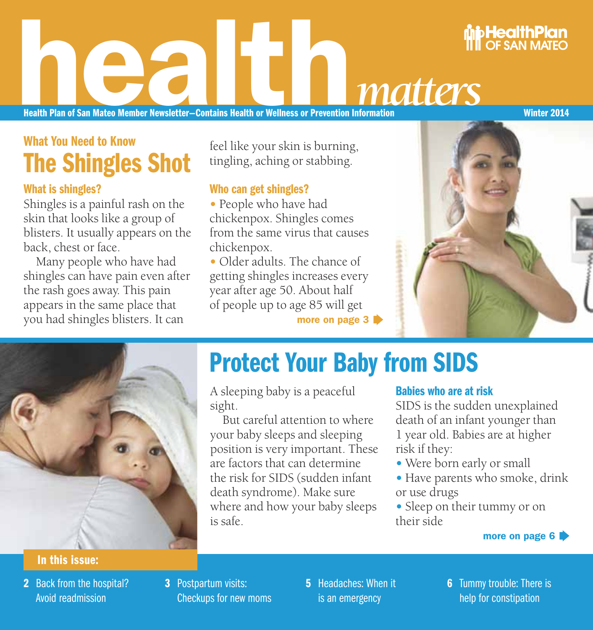# **health Plan of San Mateo Member Newsletter-Contains Health or Wellness or Prevention Information**

Health Plan of San Mateo Member Newsletter—Contains Health or Wellness or Prevention Information Winter 2014

## What You Need to Know The Shingles Shot

#### What is shingles?

Shingles is a painful rash on the skin that looks like a group of blisters. It usually appears on the back, chest or face.

Many people who have had shingles can have pain even after the rash goes away. This pain appears in the same place that you had shingles blisters. It can

#### feel like your skin is burning, tingling, aching or stabbing.

#### Who can get shingles?

- **•**People who have had chickenpox. Shingles comes from the same virus that causes chickenpox.
- **•**Older adults. The chance of getting shingles increases every year after age 50. About half of people up to age 85 will get

more on page 3



HealthPlan **OF SAN MATEC** 



## Protect Your Baby from SIDS

A sleeping baby is a peaceful sight.

But careful attention to where your baby sleeps and sleeping position is very important. These are factors that can determine the risk for SIDS (sudden infant death syndrome). Make sure where and how your baby sleeps is safe.

#### Babies who are at risk

SIDS is the sudden unexplained death of an infant younger than 1 year old. Babies are at higher risk if they:

- **•**Were born early or small
- **•**Have parents who smoke, drink or use drugs
- **•**Sleep on their tummy or on their side

#### more on page 6

#### In this issue:

- 2 Back from the hospital? Avoid readmission
- 3 Postpartum visits: Checkups for new moms
- **5** Headaches: When it is an emergency
- **6** Tummy trouble: There is help for constipation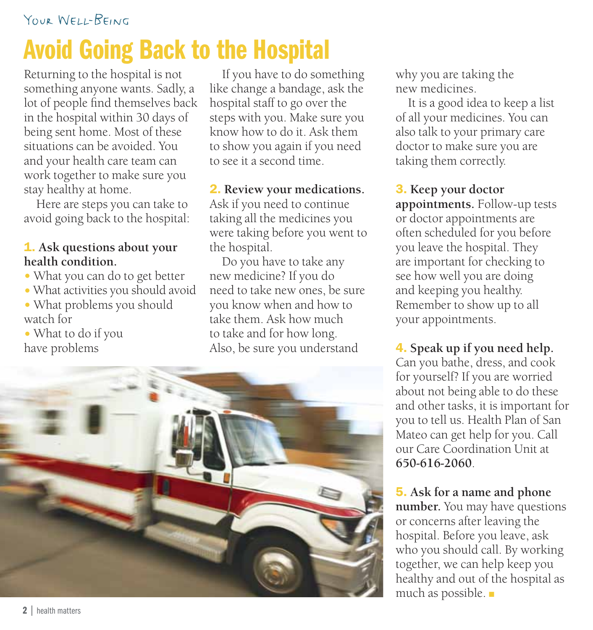# Avoid Going Back to the Hospital

Returning to the hospital is not something anyone wants. Sadly, a lot of people find themselves back in the hospital within 30 days of being sent home. Most of these situations can be avoided. You and your health care team can work together to make sure you stay healthy at home.

Here are steps you can take to avoid going back to the hospital:

#### 1. **Ask questions about your health condition.**

- **•**What you can do to get better
- **•**What activities you should avoid **•**What problems you should
- watch for **•**What to do if you
- have problems

If you have to do something like change a bandage, ask the hospital staff to go over the steps with you. Make sure you know how to do it. Ask them to show you again if you need to see it a second time.

2. **Review your medications.**  Ask if you need to continue taking all the medicines you were taking before you went to the hospital.

Do you have to take any new medicine? If you do need to take new ones, be sure you know when and how to take them. Ask how much to take and for how long. Also, be sure you understand



why you are taking the new medicines.

It is a good idea to keep a list of all your medicines. You can also talk to your primary care doctor to make sure you are taking them correctly.

3. **Keep your doctor appointments.** Follow-up tests or doctor appointments are often scheduled for you before you leave the hospital. They are important for checking to see how well you are doing and keeping you healthy. Remember to show up to all your appointments.

4. **Speak up if you need help.**  Can you bathe, dress, and cook for yourself? If you are worried about not being able to do these and other tasks, it is important for you to tell us. Health Plan of San Mateo can get help for you. Call our Care Coordination Unit at **650-616-2060**.

5. **Ask for a name and phone number.** You may have questions or concerns after leaving the hospital. Before you leave, ask who you should call. By working together, we can help keep you healthy and out of the hospital as much as possible. ■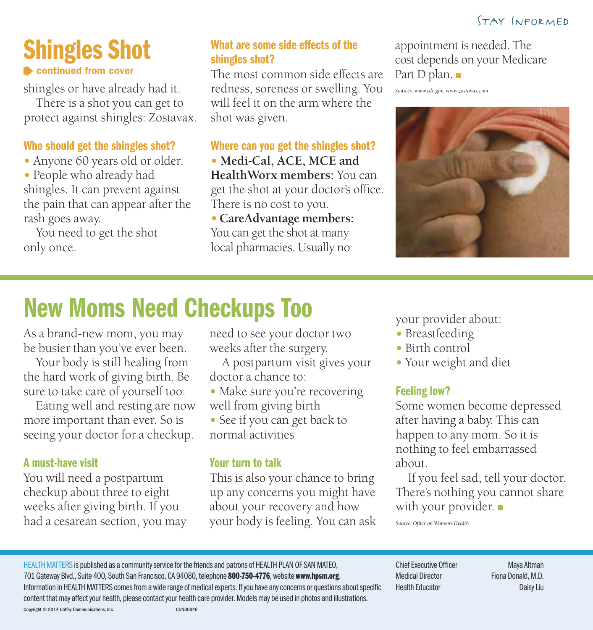## Shingles Shot **Exercise continued from cover**

shingles or have already had it.

There is a shot you can get to protect against shingles: Zostavax.

#### Who should get the shingles shot?

**•**Anyone 60 years old or older.

**•**People who already had shingles. It can prevent against the pain that can appear after the rash goes away.

You need to get the shot only once.

#### What are some side effects of the shingles shot?

The most common side effects are redness, soreness or swelling. You will feel it on the arm where the shot was given.

Where can you get the shingles shot?

**•  Medi-Cal, ACE, MCE and HealthWorx members:** You can get the shot at your doctor's office. There is no cost to you.

**•  CareAdvantage members:**  You can get the shot at many local pharmacies. Usually no

appointment is needed. The cost depends on your Medicare Part D plan. ■

*Sources: www.cdc.gov; www.zostavax.com*



# New Moms Need Checkups Too

As a brand-new mom, you may be busier than you've ever been.

Your body is still healing from the hard work of giving birth. Be sure to take care of yourself too.

Eating well and resting are now more important than ever. So is seeing your doctor for a checkup.

#### A must-have visit

You will need a postpartum checkup about three to eight weeks after giving birth. If you had a cesarean section, you may need to see your doctor two weeks after the surgery.

A postpartum visit gives your doctor a chance to:

• Make sure you're recovering well from giving birth

**•**See if you can get back to normal activities

#### Your turn to talk

This is also your chance to bring up any concerns you might have about your recovery and how your body is feeling. You can ask your provider about:

- **•**Breastfeeding
- **•**Birth control
- **•**Your weight and diet

#### Feeling low?

Some women become depressed after having a baby. This can happen to any mom. So it is nothing to feel embarrassed about.

If you feel sad, tell your doctor. There's nothing you cannot share with your provider. ■

*Source: Office on Women's Health*

HEALTH MATTERS is published as a community service for the friends and patrons of HEALTH PLAN OF SAN MATEO, 701 Gateway Blvd., Suite 400, South San Francisco, CA 94080, telephone 800-750-4776, website www.hpsm.org. Information in HEALTH MATTERS comes from a wide range of medical experts. If you have any concerns or questions about specific content that may affect your health, please contact your health care provider. Models may be used in photos and illustrations. Copyright © 2014 Coffey Communications, Inc. CUN30046

Chief Executive Officer Maya Altman Medical Director Fiona Donald, M.D. Health Educator Daisy Liu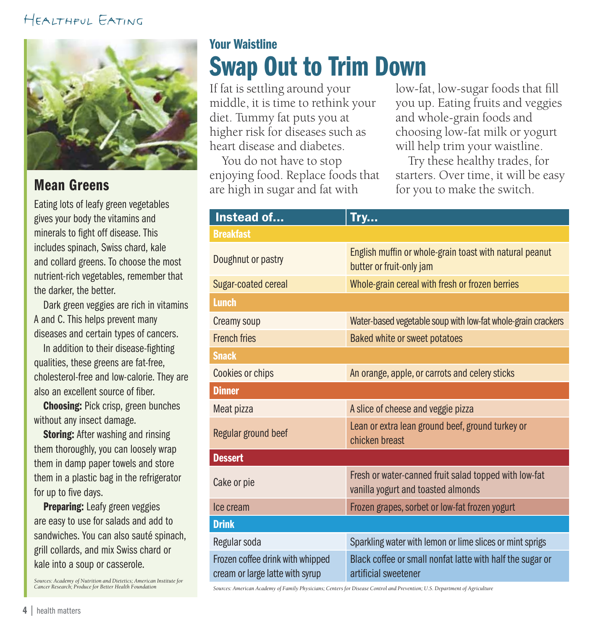#### Healthful Eating



#### Mean Greens

Eating lots of leafy green vegetables gives your body the vitamins and minerals to fight off disease. This includes spinach, Swiss chard, kale and collard greens. To choose the most nutrient-rich vegetables, remember that the darker, the better.

Dark green veggies are rich in vitamins A and C. This helps prevent many diseases and certain types of cancers.

In addition to their disease-fighting qualities, these greens are fat-free, cholesterol-free and low-calorie. They are also an excellent source of fiber.

Choosing: Pick crisp, green bunches without any insect damage.

**Storing: After washing and rinsing** them thoroughly, you can loosely wrap them in damp paper towels and store them in a plastic bag in the refrigerator for up to five days.

Preparing: Leafy green veggies are easy to use for salads and add to sandwiches. You can also sauté spinach, grill collards, and mix Swiss chard or kale into a soup or casserole.

*Sources: Academy of Nutrition and Dietetics; American Institute for Cancer Research; Produce for Better Health Foundation*

## Your Waistline Swap Out to Trim Down

If fat is settling around your middle, it is time to rethink your diet. Tummy fat puts you at higher risk for diseases such as heart disease and diabetes.

You do not have to stop enjoying food. Replace foods that are high in sugar and fat with

low-fat, low-sugar foods that fill you up. Eating fruits and veggies and whole-grain foods and choosing low-fat milk or yogurt will help trim your waistline.

Try these healthy trades, for starters. Over time, it will be easy for you to make the switch.

| Instead of                                                          | Try                                                                                         |
|---------------------------------------------------------------------|---------------------------------------------------------------------------------------------|
| <b>Breakfast</b>                                                    |                                                                                             |
| Doughnut or pastry                                                  | English muffin or whole-grain toast with natural peanut<br>butter or fruit-only jam         |
| Sugar-coated cereal                                                 | Whole-grain cereal with fresh or frozen berries                                             |
| <b>Lunch</b>                                                        |                                                                                             |
| Creamy soup                                                         | Water-based vegetable soup with low-fat whole-grain crackers                                |
| <b>French fries</b>                                                 | Baked white or sweet potatoes                                                               |
| <b>Snack</b>                                                        |                                                                                             |
| Cookies or chips                                                    | An orange, apple, or carrots and celery sticks                                              |
| <b>Dinner</b>                                                       |                                                                                             |
| Meat pizza                                                          | A slice of cheese and veggie pizza                                                          |
| Regular ground beef                                                 | Lean or extra lean ground beef, ground turkey or<br>chicken breast                          |
| <b>Dessert</b>                                                      |                                                                                             |
| Cake or pie                                                         | Fresh or water-canned fruit salad topped with low-fat<br>vanilla yogurt and toasted almonds |
| Ice cream                                                           | Frozen grapes, sorbet or low-fat frozen yogurt                                              |
| <b>Drink</b>                                                        |                                                                                             |
| Regular soda                                                        | Sparkling water with lemon or lime slices or mint sprigs                                    |
| Frozen coffee drink with whipped<br>cream or large latte with syrup | Black coffee or small nonfat latte with half the sugar or<br>artificial sweetener           |

*Sources: American Academy of Family Physicians; Centers for Disease Control and Prevention; U.S. Department of Agriculture*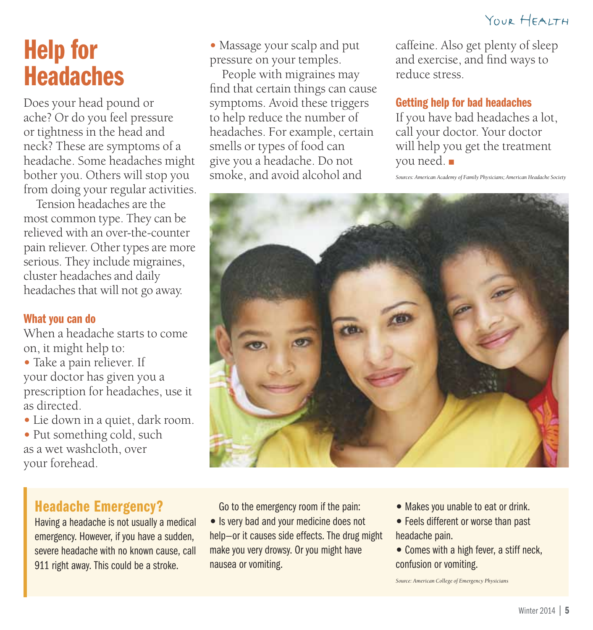## Help for **Headaches**

Does your head pound or ache? Or do you feel pressure or tightness in the head and neck? These are symptoms of a headache. Some headaches might bother you. Others will stop you from doing your regular activities.

Tension headaches are the most common type. They can be relieved with an over-the-counter pain reliever. Other types are more serious. They include migraines, cluster headaches and daily headaches that will not go away.

#### What you can do

When a headache starts to come on, it might help to:

- **•**Take a pain reliever. If your doctor has given you a prescription for headaches, use it as directed.
- **•**Lie down in a quiet, dark room.

**•**Put something cold, such as a wet washcloth, over your forehead.

**•**Massage your scalp and put pressure on your temples.

People with migraines may find that certain things can cause symptoms. Avoid these triggers to help reduce the number of headaches. For example, certain smells or types of food can give you a headache. Do not smoke, and avoid alcohol and

caffeine. Also get plenty of sleep and exercise, and find ways to reduce stress.

#### Getting help for bad headaches

If you have bad headaches a lot, call your doctor. Your doctor will help you get the treatment you need. ■

*Sources: American Academy of Family Physicians; American Headache Society*



#### Headache Emergency?

Having a headache is not usually a medical emergency. However, if you have a sudden, severe headache with no known cause, call 911 right away. This could be a stroke.

Go to the emergency room if the pain:

- **•** Is very bad and your medicine does not help—or it causes side effects. The drug might make you very drowsy. Or you might have nausea or vomiting.
- **•** Makes you unable to eat or drink.
- **•** Feels different or worse than past headache pain.
- **•** Comes with a high fever, a stiff neck, confusion or vomiting.

*Source: American College of Emergency Physicians*